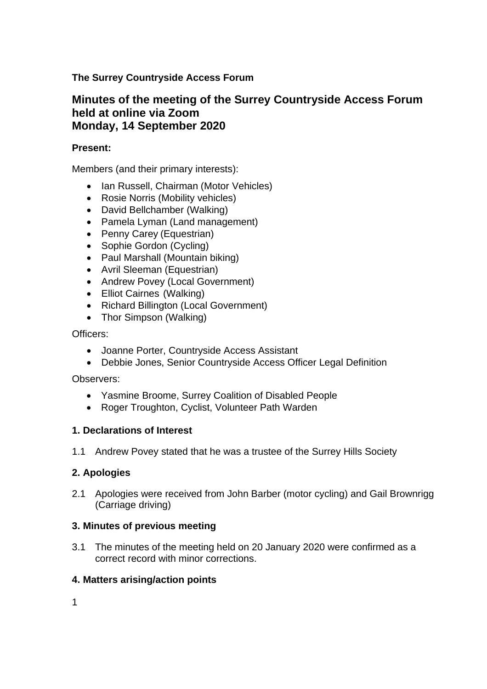## **The Surrey Countryside Access Forum**

# **Minutes of the meeting of the Surrey Countryside Access Forum held at online via Zoom Monday, 14 September 2020**

### **Present:**

Members (and their primary interests):

- Ian Russell, Chairman (Motor Vehicles)
- Rosie Norris (Mobility vehicles)
- David Bellchamber (Walking)
- Pamela Lyman (Land management)
- Penny Carey (Equestrian)
- Sophie Gordon (Cycling)
- Paul Marshall (Mountain biking)
- Avril Sleeman (Equestrian)
- Andrew Povey (Local Government)
- Elliot Cairnes (Walking)
- Richard Billington (Local Government)
- Thor Simpson (Walking)

Officers:

- Joanne Porter, Countryside Access Assistant
- Debbie Jones, Senior Countryside Access Officer Legal Definition

Observers:

- Yasmine Broome, Surrey Coalition of Disabled People
- Roger Troughton, Cyclist, Volunteer Path Warden

## **1. Declarations of Interest**

1.1 Andrew Povey stated that he was a trustee of the Surrey Hills Society

## **2. Apologies**

2.1 Apologies were received from John Barber (motor cycling) and Gail Brownrigg (Carriage driving)

## **3. Minutes of previous meeting**

3.1 The minutes of the meeting held on 20 January 2020 were confirmed as a correct record with minor corrections.

## **4. Matters arising/action points**

1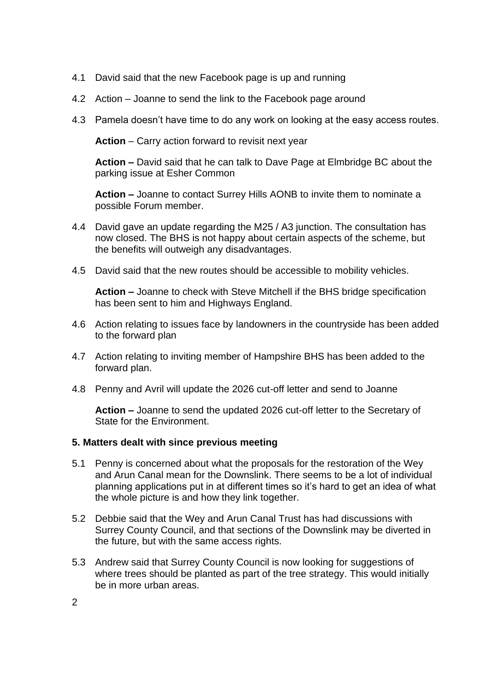- 4.1 David said that the new Facebook page is up and running
- 4.2 Action Joanne to send the link to the Facebook page around
- 4.3 Pamela doesn't have time to do any work on looking at the easy access routes.

**Action** – Carry action forward to revisit next year

**Action –** David said that he can talk to Dave Page at Elmbridge BC about the parking issue at Esher Common

**Action –** Joanne to contact Surrey Hills AONB to invite them to nominate a possible Forum member.

- 4.4 David gave an update regarding the M25 / A3 junction. The consultation has now closed. The BHS is not happy about certain aspects of the scheme, but the benefits will outweigh any disadvantages.
- 4.5 David said that the new routes should be accessible to mobility vehicles.

**Action –** Joanne to check with Steve Mitchell if the BHS bridge specification has been sent to him and Highways England.

- 4.6 Action relating to issues face by landowners in the countryside has been added to the forward plan
- 4.7 Action relating to inviting member of Hampshire BHS has been added to the forward plan.
- 4.8 Penny and Avril will update the 2026 cut-off letter and send to Joanne

**Action –** Joanne to send the updated 2026 cut-off letter to the Secretary of State for the Environment.

#### **5. Matters dealt with since previous meeting**

- 5.1 Penny is concerned about what the proposals for the restoration of the Wey and Arun Canal mean for the Downslink. There seems to be a lot of individual planning applications put in at different times so it's hard to get an idea of what the whole picture is and how they link together.
- 5.2 Debbie said that the Wey and Arun Canal Trust has had discussions with Surrey County Council, and that sections of the Downslink may be diverted in the future, but with the same access rights.
- 5.3 Andrew said that Surrey County Council is now looking for suggestions of where trees should be planted as part of the tree strategy. This would initially be in more urban areas.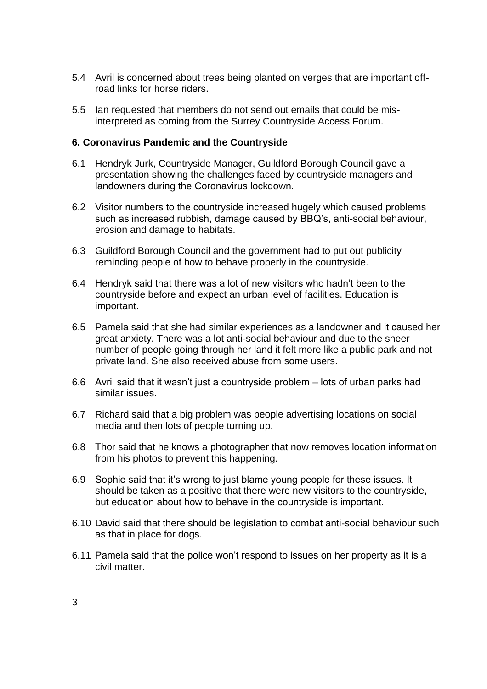- 5.4 Avril is concerned about trees being planted on verges that are important offroad links for horse riders.
- 5.5 Ian requested that members do not send out emails that could be misinterpreted as coming from the Surrey Countryside Access Forum.

### **6. Coronavirus Pandemic and the Countryside**

- 6.1 Hendryk Jurk, Countryside Manager, Guildford Borough Council gave a presentation showing the challenges faced by countryside managers and landowners during the Coronavirus lockdown.
- 6.2 Visitor numbers to the countryside increased hugely which caused problems such as increased rubbish, damage caused by BBQ's, anti-social behaviour, erosion and damage to habitats.
- 6.3 Guildford Borough Council and the government had to put out publicity reminding people of how to behave properly in the countryside.
- 6.4 Hendryk said that there was a lot of new visitors who hadn't been to the countryside before and expect an urban level of facilities. Education is important.
- 6.5 Pamela said that she had similar experiences as a landowner and it caused her great anxiety. There was a lot anti-social behaviour and due to the sheer number of people going through her land it felt more like a public park and not private land. She also received abuse from some users.
- 6.6 Avril said that it wasn't just a countryside problem lots of urban parks had similar issues.
- 6.7 Richard said that a big problem was people advertising locations on social media and then lots of people turning up.
- 6.8 Thor said that he knows a photographer that now removes location information from his photos to prevent this happening.
- 6.9 Sophie said that it's wrong to just blame young people for these issues. It should be taken as a positive that there were new visitors to the countryside, but education about how to behave in the countryside is important.
- 6.10 David said that there should be legislation to combat anti-social behaviour such as that in place for dogs.
- 6.11 Pamela said that the police won't respond to issues on her property as it is a civil matter.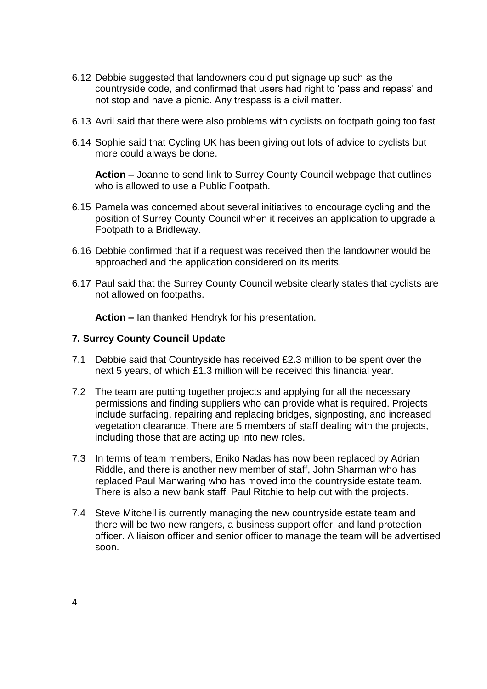- 6.12 Debbie suggested that landowners could put signage up such as the countryside code, and confirmed that users had right to 'pass and repass' and not stop and have a picnic. Any trespass is a civil matter.
- 6.13 Avril said that there were also problems with cyclists on footpath going too fast
- 6.14 Sophie said that Cycling UK has been giving out lots of advice to cyclists but more could always be done.

**Action –** Joanne to send link to Surrey County Council webpage that outlines who is allowed to use a Public Footpath.

- 6.15 Pamela was concerned about several initiatives to encourage cycling and the position of Surrey County Council when it receives an application to upgrade a Footpath to a Bridleway.
- 6.16 Debbie confirmed that if a request was received then the landowner would be approached and the application considered on its merits.
- 6.17 Paul said that the Surrey County Council website clearly states that cyclists are not allowed on footpaths.

**Action –** Ian thanked Hendryk for his presentation.

#### **7. Surrey County Council Update**

- 7.1 Debbie said that Countryside has received £2.3 million to be spent over the next 5 years, of which £1.3 million will be received this financial year.
- 7.2 The team are putting together projects and applying for all the necessary permissions and finding suppliers who can provide what is required. Projects include surfacing, repairing and replacing bridges, signposting, and increased vegetation clearance. There are 5 members of staff dealing with the projects, including those that are acting up into new roles.
- 7.3 In terms of team members, Eniko Nadas has now been replaced by Adrian Riddle, and there is another new member of staff, John Sharman who has replaced Paul Manwaring who has moved into the countryside estate team. There is also a new bank staff, Paul Ritchie to help out with the projects.
- 7.4 Steve Mitchell is currently managing the new countryside estate team and there will be two new rangers, a business support offer, and land protection officer. A liaison officer and senior officer to manage the team will be advertised soon.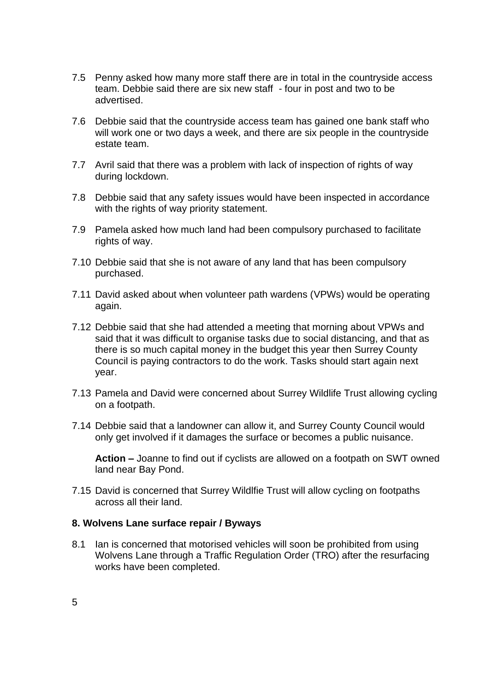- 7.5 Penny asked how many more staff there are in total in the countryside access team. Debbie said there are six new staff - four in post and two to be advertised.
- 7.6 Debbie said that the countryside access team has gained one bank staff who will work one or two days a week, and there are six people in the countryside estate team.
- 7.7 Avril said that there was a problem with lack of inspection of rights of way during lockdown.
- 7.8 Debbie said that any safety issues would have been inspected in accordance with the rights of way priority statement.
- 7.9 Pamela asked how much land had been compulsory purchased to facilitate rights of way.
- 7.10 Debbie said that she is not aware of any land that has been compulsory purchased.
- 7.11 David asked about when volunteer path wardens (VPWs) would be operating again.
- 7.12 Debbie said that she had attended a meeting that morning about VPWs and said that it was difficult to organise tasks due to social distancing, and that as there is so much capital money in the budget this year then Surrey County Council is paying contractors to do the work. Tasks should start again next year.
- 7.13 Pamela and David were concerned about Surrey Wildlife Trust allowing cycling on a footpath.
- 7.14 Debbie said that a landowner can allow it, and Surrey County Council would only get involved if it damages the surface or becomes a public nuisance.

**Action –** Joanne to find out if cyclists are allowed on a footpath on SWT owned land near Bay Pond.

7.15 David is concerned that Surrey Wildlfie Trust will allow cycling on footpaths across all their land.

#### **8. Wolvens Lane surface repair / Byways**

8.1 Ian is concerned that motorised vehicles will soon be prohibited from using Wolvens Lane through a Traffic Regulation Order (TRO) after the resurfacing works have been completed.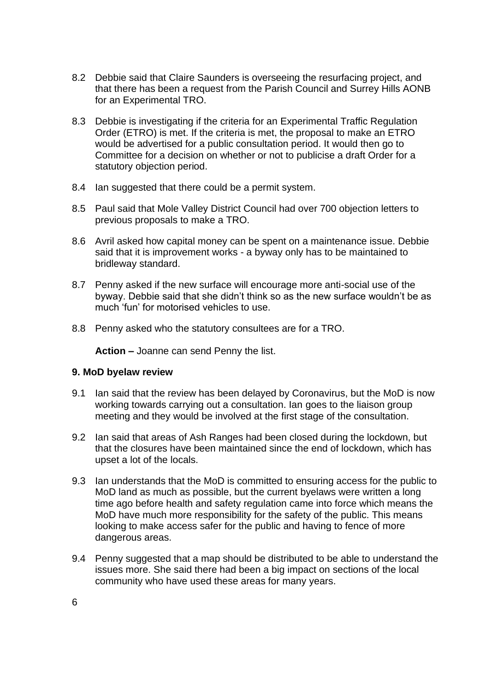- 8.2 Debbie said that Claire Saunders is overseeing the resurfacing project, and that there has been a request from the Parish Council and Surrey Hills AONB for an Experimental TRO.
- 8.3 Debbie is investigating if the criteria for an Experimental Traffic Regulation Order (ETRO) is met. If the criteria is met, the proposal to make an ETRO would be advertised for a public consultation period. It would then go to Committee for a decision on whether or not to publicise a draft Order for a statutory objection period.
- 8.4 Ian suggested that there could be a permit system.
- 8.5 Paul said that Mole Valley District Council had over 700 objection letters to previous proposals to make a TRO.
- 8.6 Avril asked how capital money can be spent on a maintenance issue. Debbie said that it is improvement works - a byway only has to be maintained to bridleway standard.
- 8.7 Penny asked if the new surface will encourage more anti-social use of the byway. Debbie said that she didn't think so as the new surface wouldn't be as much 'fun' for motorised vehicles to use.
- 8.8 Penny asked who the statutory consultees are for a TRO.

**Action –** Joanne can send Penny the list.

### **9. MoD byelaw review**

- 9.1 Ian said that the review has been delayed by Coronavirus, but the MoD is now working towards carrying out a consultation. Ian goes to the liaison group meeting and they would be involved at the first stage of the consultation.
- 9.2 Ian said that areas of Ash Ranges had been closed during the lockdown, but that the closures have been maintained since the end of lockdown, which has upset a lot of the locals.
- 9.3 Ian understands that the MoD is committed to ensuring access for the public to MoD land as much as possible, but the current byelaws were written a long time ago before health and safety regulation came into force which means the MoD have much more responsibility for the safety of the public. This means looking to make access safer for the public and having to fence of more dangerous areas.
- 9.4 Penny suggested that a map should be distributed to be able to understand the issues more. She said there had been a big impact on sections of the local community who have used these areas for many years.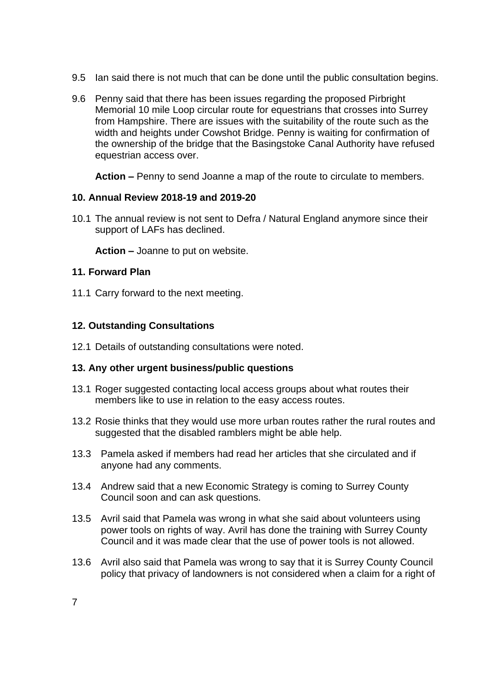- 9.5 Ian said there is not much that can be done until the public consultation begins.
- 9.6 Penny said that there has been issues regarding the proposed Pirbright Memorial 10 mile Loop circular route for equestrians that crosses into Surrey from Hampshire. There are issues with the suitability of the route such as the width and heights under Cowshot Bridge. Penny is waiting for confirmation of the ownership of the bridge that the Basingstoke Canal Authority have refused equestrian access over.

**Action –** Penny to send Joanne a map of the route to circulate to members.

## **10. Annual Review 2018-19 and 2019-20**

10.1 The annual review is not sent to Defra / Natural England anymore since their support of LAFs has declined.

**Action –** Joanne to put on website.

### **11. Forward Plan**

11.1 Carry forward to the next meeting.

## **12. Outstanding Consultations**

12.1 Details of outstanding consultations were noted.

## **13. Any other urgent business/public questions**

- 13.1 Roger suggested contacting local access groups about what routes their members like to use in relation to the easy access routes.
- 13.2 Rosie thinks that they would use more urban routes rather the rural routes and suggested that the disabled ramblers might be able help.
- 13.3 Pamela asked if members had read her articles that she circulated and if anyone had any comments.
- 13.4 Andrew said that a new Economic Strategy is coming to Surrey County Council soon and can ask questions.
- 13.5 Avril said that Pamela was wrong in what she said about volunteers using power tools on rights of way. Avril has done the training with Surrey County Council and it was made clear that the use of power tools is not allowed.
- 13.6 Avril also said that Pamela was wrong to say that it is Surrey County Council policy that privacy of landowners is not considered when a claim for a right of